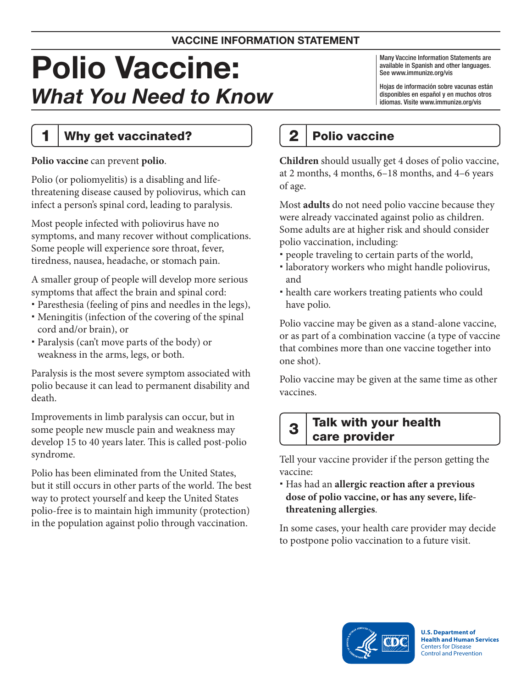#### VACCINE INFORMATION STATEMENT

# Polio Vaccine: What You Need to Know

Many Vaccine Information Statements are available in Spanish and other languages. See www.immunize.org/vis

Hojas de información sobre vacunas están disponibles en español y en muchos otros idiomas. Visite www.immunize.org/vis

1 | Why get vaccinated?

#### **Polio vaccine** can prevent **polio**.

Polio (or poliomyelitis) is a disabling and lifethreatening disease caused by poliovirus, which can infect a person's spinal cord, leading to paralysis.

Most people infected with poliovirus have no symptoms, and many recover without complications. Some people will experience sore throat, fever, tiredness, nausea, headache, or stomach pain.

A smaller group of people will develop more serious symptoms that affect the brain and spinal cord:

- Paresthesia (feeling of pins and needles in the legs),
- Meningitis (infection of the covering of the spinal cord and/or brain), or
- Paralysis (can't move parts of the body) or weakness in the arms, legs, or both.

Paralysis is the most severe symptom associated with polio because it can lead to permanent disability and death.

Improvements in limb paralysis can occur, but in some people new muscle pain and weakness may develop 15 to 40 years later. This is called post-polio syndrome.

Polio has been eliminated from the United States, but it still occurs in other parts of the world. The best way to protect yourself and keep the United States polio-free is to maintain high immunity (protection) in the population against polio through vaccination.

# 2 | Polio vaccine

**Children** should usually get 4 doses of polio vaccine, at 2 months, 4 months, 6–18 months, and 4–6 years of age.

Most **adults** do not need polio vaccine because they were already vaccinated against polio as children. Some adults are at higher risk and should consider polio vaccination, including:

- people traveling to certain parts of the world,
- laboratory workers who might handle poliovirus, and
- health care workers treating patients who could have polio.

Polio vaccine may be given as a stand-alone vaccine, or as part of a combination vaccine (a type of vaccine that combines more than one vaccine together into one shot).

Polio vaccine may be given at the same time as other vaccines.

## $3$  Talk with your health care provider

Tell your vaccine provider if the person getting the vaccine:

 Has had an **allergic reaction after a previous dose of polio vaccine, or has any severe, lifethreatening allergies**.

In some cases, your health care provider may decide to postpone polio vaccination to a future visit.